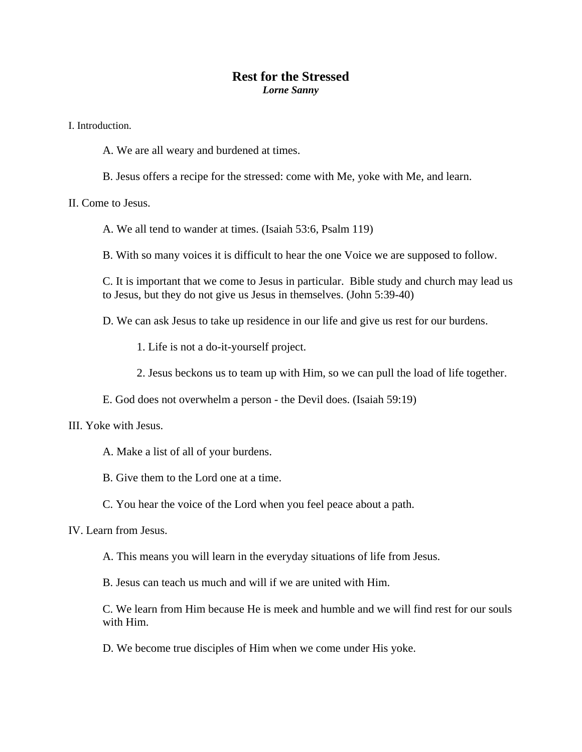## **Rest for the Stressed**  *Lorne Sanny*

I. Introduction.

A. We are all weary and burdened at times.

B. Jesus offers a recipe for the stressed: come with Me, yoke with Me, and learn.

II. Come to Jesus.

A. We all tend to wander at times. (Isaiah 53:6, Psalm 119)

B. With so many voices it is difficult to hear the one Voice we are supposed to follow.

C. It is important that we come to Jesus in particular. Bible study and church may lead us to Jesus, but they do not give us Jesus in themselves. (John 5:39-40)

D. We can ask Jesus to take up residence in our life and give us rest for our burdens.

1. Life is not a do-it-yourself project.

2. Jesus beckons us to team up with Him, so we can pull the load of life together.

E. God does not overwhelm a person - the Devil does. (Isaiah 59:19)

III. Yoke with Jesus.

A. Make a list of all of your burdens.

B. Give them to the Lord one at a time.

C. You hear the voice of the Lord when you feel peace about a path.

IV. Learn from Jesus.

A. This means you will learn in the everyday situations of life from Jesus.

B. Jesus can teach us much and will if we are united with Him.

C. We learn from Him because He is meek and humble and we will find rest for our souls with Him.

D. We become true disciples of Him when we come under His yoke.